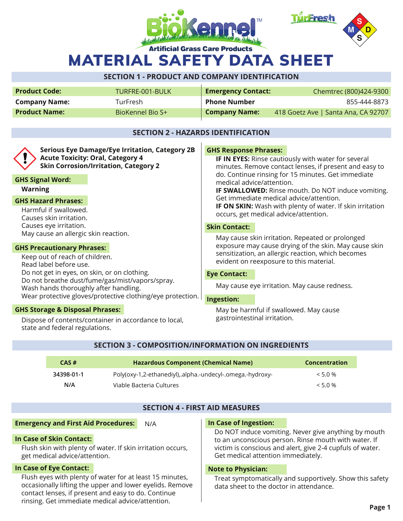



MATERIAL SAFETY DATA SHEET

# **SECTION 1 - PRODUCT AND COMPANY IDENTIFICATION**

| <b>Product Code:</b> | TURFRE-001-BULK  | <b>Emergency Contact:</b> | Chemtrec (800)424-9300              |
|----------------------|------------------|---------------------------|-------------------------------------|
| <b>Company Name:</b> | TurFresh         | <b>Phone Number</b>       | 855-444-8873                        |
| <b>Product Name:</b> | BioKennel Bio S+ | <b>Company Name:</b>      | 418 Goetz Ave   Santa Ana, CA 92707 |

## **SECTION 2 - HAZARDS IDENTIFICATION**

| <b>Serious Eye Damage/Eye Irritation, Category 2B</b><br><b>Acute Toxicity: Oral, Category 4</b><br><b>Skin Corrosion/Irritation, Category 2</b><br><b>GHS Signal Word:</b><br><b>Warning</b> | <b>GHS Response Phrases:</b><br>IF IN EYES: Rinse cautiously with water for several<br>minutes. Remove contact lenses, if present and easy to<br>do. Continue rinsing for 15 minutes. Get immediate<br>medical advice/attention.<br><b>IF SWALLOWED:</b> Rinse mouth. Do NOT induce vomiting.<br>Get immediate medical advice/attention.<br><b>IF ON SKIN:</b> Wash with plenty of water. If skin irritation<br>occurs, get medical advice/attention. |  |  |
|-----------------------------------------------------------------------------------------------------------------------------------------------------------------------------------------------|-------------------------------------------------------------------------------------------------------------------------------------------------------------------------------------------------------------------------------------------------------------------------------------------------------------------------------------------------------------------------------------------------------------------------------------------------------|--|--|
| <b>GHS Hazard Phrases:</b>                                                                                                                                                                    |                                                                                                                                                                                                                                                                                                                                                                                                                                                       |  |  |
| Harmful if swallowed.<br>Causes skin irritation.                                                                                                                                              |                                                                                                                                                                                                                                                                                                                                                                                                                                                       |  |  |
| Causes eye irritation.                                                                                                                                                                        | <b>Skin Contact:</b>                                                                                                                                                                                                                                                                                                                                                                                                                                  |  |  |
| May cause an allergic skin reaction.                                                                                                                                                          | May cause skin irritation. Repeated or prolonged                                                                                                                                                                                                                                                                                                                                                                                                      |  |  |
| <b>GHS Precautionary Phrases:</b>                                                                                                                                                             | exposure may cause drying of the skin. May cause skin                                                                                                                                                                                                                                                                                                                                                                                                 |  |  |
| Keep out of reach of children.<br>Read label before use.                                                                                                                                      | sensitization, an allergic reaction, which becomes<br>evident on reexposure to this material.                                                                                                                                                                                                                                                                                                                                                         |  |  |
| Do not get in eyes, on skin, or on clothing.                                                                                                                                                  | <b>Eye Contact:</b>                                                                                                                                                                                                                                                                                                                                                                                                                                   |  |  |
| Do not breathe dust/fume/gas/mist/vapors/spray.<br>Wash hands thoroughly after handling.                                                                                                      | May cause eye irritation. May cause redness.                                                                                                                                                                                                                                                                                                                                                                                                          |  |  |
| Wear protective gloves/protective clothing/eye protection.                                                                                                                                    | Ingestion:                                                                                                                                                                                                                                                                                                                                                                                                                                            |  |  |
| <b>GHS Storage &amp; Disposal Phrases:</b>                                                                                                                                                    | May be harmful if swallowed. May cause<br>gastrointestinal irritation.                                                                                                                                                                                                                                                                                                                                                                                |  |  |
| Dispose of contents/container in accordance to local,                                                                                                                                         |                                                                                                                                                                                                                                                                                                                                                                                                                                                       |  |  |

## **SECTION 3 - COMPOSITION/INFORMATION ON INGREDIENTS**

| CAS#       | <b>Hazardous Component (Chemical Name)</b>                | <b>Concentration</b> |
|------------|-----------------------------------------------------------|----------------------|
| 34398-01-1 | -Poly(oxy-1,2-ethanediyl),.alpha.-undecyl-.omega.-hydroxy | $< 5.0 \%$           |
| N/A        | Viable Bacteria Cultures                                  | $< 5.0\%$            |

## **SECTION 4 - FIRST AID MEASURES**

#### **Emergency and First Aid Procedures:** N/A

## **In Case of Skin Contact:**

state and federal regulations.

Flush skin with plenty of water. If skin irritation occurs, get medical advice/attention.

## **In Case of Eye Contact:**

Flush eyes with plenty of water for at least 15 minutes, occasionally lifting the upper and lower eyelids. Remove contact lenses, if present and easy to do. Continue rinsing. Get immediate medical advice/attention.

## **In Case of Ingestion:**

Do NOT induce vomiting. Never give anything by mouth to an unconscious person. Rinse mouth with water. If victim is conscious and alert, give 2-4 cupfuls of water. Get medical attention immediately.

#### **Note to Physician:**

Treat symptomatically and supportively. Show this safety data sheet to the doctor in attendance.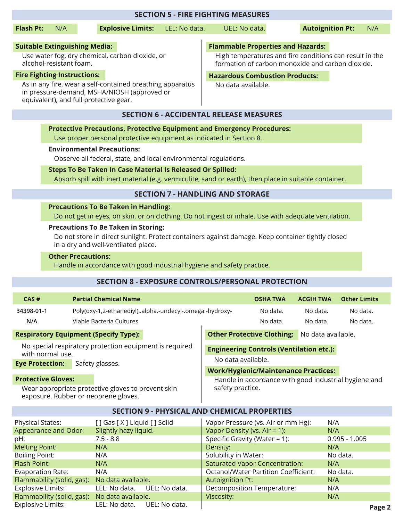| <b>SECTION 5 - FIRE FIGHTING MEASURES</b>                                  |                                                                                                                                                                                        |                                                                                                             |                                       |                         |                 |          |
|----------------------------------------------------------------------------|----------------------------------------------------------------------------------------------------------------------------------------------------------------------------------------|-------------------------------------------------------------------------------------------------------------|---------------------------------------|-------------------------|-----------------|----------|
| <b>Flash Pt:</b><br>N/A                                                    | <b>Explosive Limits:</b><br>LEL: No data.                                                                                                                                              | UEL: No data.                                                                                               |                                       | <b>Autoignition Pt:</b> |                 | N/A      |
| <b>Suitable Extinguishing Media:</b>                                       | <b>Flammable Properties and Hazards:</b>                                                                                                                                               |                                                                                                             |                                       |                         |                 |          |
| Use water fog, dry chemical, carbon dioxide, or<br>alcohol-resistant foam. |                                                                                                                                                                                        | High temperatures and fire conditions can result in the<br>formation of carbon monoxide and carbon dioxide. |                                       |                         |                 |          |
| <b>Fire Fighting Instructions:</b>                                         |                                                                                                                                                                                        |                                                                                                             | <b>Hazardous Combustion Products:</b> |                         |                 |          |
| equivalent), and full protective gear.                                     | As in any fire, wear a self-contained breathing apparatus<br>in pressure-demand, MSHA/NIOSH (approved or                                                                               | No data available.                                                                                          |                                       |                         |                 |          |
|                                                                            | <b>SECTION 6 - ACCIDENTAL RELEASE MEASURES</b>                                                                                                                                         |                                                                                                             |                                       |                         |                 |          |
|                                                                            | <b>Protective Precautions, Protective Equipment and Emergency Procedures:</b>                                                                                                          |                                                                                                             |                                       |                         |                 |          |
|                                                                            | Use proper personal protective equipment as indicated in Section 8.                                                                                                                    |                                                                                                             |                                       |                         |                 |          |
|                                                                            | <b>Environmental Precautions:</b>                                                                                                                                                      |                                                                                                             |                                       |                         |                 |          |
|                                                                            | Observe all federal, state, and local environmental regulations.                                                                                                                       |                                                                                                             |                                       |                         |                 |          |
|                                                                            | Steps To Be Taken In Case Material Is Released Or Spilled:                                                                                                                             |                                                                                                             |                                       |                         |                 |          |
|                                                                            | Absorb spill with inert material (e.g. vermiculite, sand or earth), then place in suitable container.                                                                                  |                                                                                                             |                                       |                         |                 |          |
|                                                                            | <b>SECTION 7 - HANDLING AND STORAGE</b>                                                                                                                                                |                                                                                                             |                                       |                         |                 |          |
|                                                                            | <b>Precautions To Be Taken in Handling:</b>                                                                                                                                            |                                                                                                             |                                       |                         |                 |          |
|                                                                            | Do not get in eyes, on skin, or on clothing. Do not ingest or inhale. Use with adequate ventilation.                                                                                   |                                                                                                             |                                       |                         |                 |          |
|                                                                            | <b>Precautions To Be Taken in Storing:</b><br>Do not store in direct sunlight. Protect containers against damage. Keep container tightly closed<br>in a dry and well-ventilated place. |                                                                                                             |                                       |                         |                 |          |
| <b>Other Precautions:</b>                                                  | Handle in accordance with good industrial hygiene and safety practice.                                                                                                                 |                                                                                                             |                                       |                         |                 |          |
|                                                                            | <b>SECTION 8 - EXPOSURE CONTROLS/PERSONAL PROTECTION</b>                                                                                                                               |                                                                                                             |                                       |                         |                 |          |
| CAS#                                                                       | <b>Partial Chemical Name</b><br><b>Other Limits</b><br><b>ACGIH TWA</b><br><b>OSHA TWA</b>                                                                                             |                                                                                                             |                                       |                         |                 |          |
| 34398-01-1                                                                 | Poly(oxy-1,2-ethanediyl),.alpha.-undecyl-.omega.-hydroxy-                                                                                                                              |                                                                                                             | No data.                              | No data.                |                 | No data. |
| N/A                                                                        | Viable Bacteria Cultures                                                                                                                                                               |                                                                                                             | No data.                              | No data.                |                 | No data. |
| <b>Respiratory Equipment (Specify Type):</b>                               |                                                                                                                                                                                        | <b>Other Protective Clothing:</b>                                                                           |                                       | No data available.      |                 |          |
|                                                                            | No special respiratory protection equipment is required                                                                                                                                |                                                                                                             |                                       |                         |                 |          |
| with normal use.                                                           |                                                                                                                                                                                        | <b>Engineering Controls (Ventilation etc.):</b><br>No data available.                                       |                                       |                         |                 |          |
| <b>Eye Protection:</b>                                                     | Safety glasses.                                                                                                                                                                        | <b>Work/Hygienic/Maintenance Practices:</b>                                                                 |                                       |                         |                 |          |
| <b>Protective Gloves:</b>                                                  |                                                                                                                                                                                        |                                                                                                             |                                       |                         |                 |          |
|                                                                            | Handle in accordance with good industrial hygiene and<br>safety practice.<br>Wear appropriate protective gloves to prevent skin<br>exposure. Rubber or neoprene gloves.                |                                                                                                             |                                       |                         |                 |          |
| <b>SECTION 9 - PHYSICAL AND CHEMICAL PROPERTIES</b>                        |                                                                                                                                                                                        |                                                                                                             |                                       |                         |                 |          |
| <b>Physical States:</b>                                                    | [] Gas [X] Liquid [] Solid                                                                                                                                                             | Vapor Pressure (vs. Air or mm Hg):                                                                          |                                       | N/A                     |                 |          |
| Appearance and Odor:                                                       | Slightly hazy liquid.                                                                                                                                                                  | Vapor Density (vs. Air = 1):                                                                                |                                       | N/A                     |                 |          |
| pH:<br><b>Melting Point:</b>                                               | $7.5 - 8.8$<br>N/A                                                                                                                                                                     | Specific Gravity (Water = $1$ ):<br>Density:                                                                |                                       | N/A                     | $0.995 - 1.005$ |          |
| <b>Boiling Point:</b>                                                      | N/A                                                                                                                                                                                    | Solubility in Water:                                                                                        |                                       |                         | No data.        |          |
| Flash Point:                                                               | N/A                                                                                                                                                                                    | <b>Saturated Vapor Concentration:</b>                                                                       |                                       | N/A                     |                 |          |
| Evaporation Rate:                                                          | N/A                                                                                                                                                                                    | <b>Octanol/Water Partition Coefficient:</b>                                                                 |                                       |                         | No data.        |          |
| Flammability (solid, gas):<br><b>Explosive Limits:</b>                     | No data available.<br>LEL: No data.<br>UEL: No data.                                                                                                                                   | <b>Autoignition Pt:</b>                                                                                     |                                       | N/A<br>N/A              |                 |          |
|                                                                            |                                                                                                                                                                                        | Decomposition Temperature:                                                                                  |                                       |                         |                 |          |

Viscosity:

Flammability (solid, gas): No data available.

Explosive Limits: LEL: No data. UEL: No data.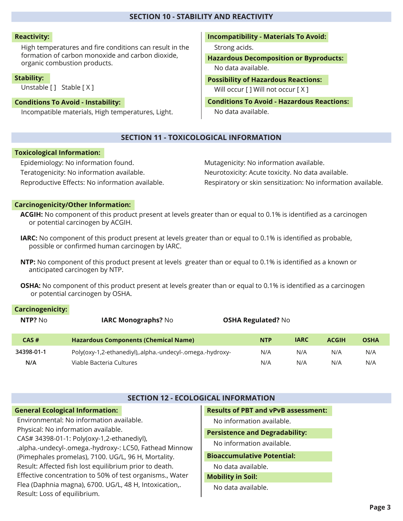## **SECTION 10 - STABILITY AND REACTIVITY**

## **Reactivity:**

High temperatures and fire conditions can result in the formation of carbon monoxide and carbon dioxide, organic combustion products.

#### **Stability:**

Unstable [ ] Stable [ X ]

## **Conditions To Avoid - Instability:**

Incompatible materials, High temperatures, Light.

**Incompatibility - Materials To Avoid:**

Strong acids.

**Hazardous Decomposition or Byproducts:** No data available.

**Possibility of Hazardous Reactions:** Will occur [ ] Will not occur [ X ]

**Conditions To Avoid - Hazardous Reactions:** No data available.

## **SECTION 11 - TOXICOLOGICAL INFORMATION**

## **Toxicological Information:**

Epidemiology: No information found. Teratogenicity: No information available. Reproductive Effects: No information available. Mutagenicity: No information available. Neurotoxicity: Acute toxicity. No data available. Respiratory or skin sensitization: No information available.

## **Carcinogenicity/Other Information:**

- **ACGIH:** No component of this product present at levels greater than or equal to 0.1% is identified as a carcinogen or potential carcinogen by ACGIH.
- **IARC:** No component of this product present at levels greater than or equal to 0.1% is identified as probable, possible or confirmed human carcinogen by IARC.
- **NTP:** No component of this product present at levels greater than or equal to 0.1% is identified as a known or anticipated carcinogen by NTP.
- **OSHA:** No component of this product present at levels greater than or equal to 0.1% is identified as a carcinogen or potential carcinogen by OSHA.

## **Carcinogenicity:**

| NTP? No    | <b>IARC Monographs? No</b>                                | <b>OSHA Regulated? No</b> |             |              |             |
|------------|-----------------------------------------------------------|---------------------------|-------------|--------------|-------------|
| CAS#       | <b>Hazardous Components (Chemical Name)</b>               | <b>NTP</b>                | <b>IARC</b> | <b>ACGIH</b> | <b>OSHA</b> |
| 34398-01-1 | Poly(oxy-1,2-ethanediyl),.alpha.-undecyl-.omega.-hydroxy- | N/A                       | N/A         | N/A          | N/A         |
| N/A        | Viable Bacteria Cultures                                  | N/A                       | N/A         | N/A          | N/A         |

## **SECTION 12 - ECOLOGICAL INFORMATION**

## **General Ecological Information:** Environmental: No information available. Physical: No information available. CAS# 34398-01-1: Poly(oxy-1,2-ethanediyl), .alpha.-undecyl-.omega.-hydroxy-: LC50, Fathead Minnow (Pimephales promelas), 7100. UG/L, 96 H, Mortality. Result: Affected fish lost equilibrium prior to death. Effective concentration to 50% of test organisms., Water Flea (Daphnia magna), 6700. UG/L, 48 H, Intoxication,. Result: Loss of equilibrium.

## **Results of PBT and vPvB assessment:**

No information available.

**Persistence and Degradability:**

No information available.

## **Bioaccumulative Potential:**

No data available.

**Mobility in Soil:**

## No data available.